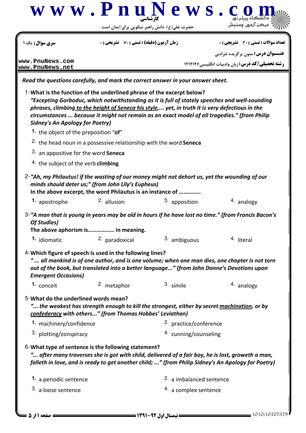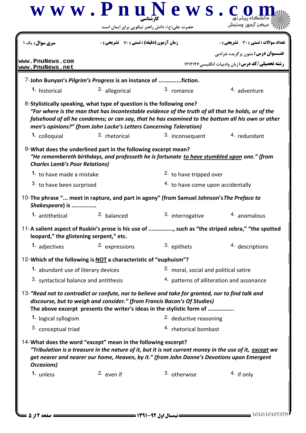| <b>سری سوال:</b> یک ۱<br>www.PnuNews.com<br>www.PnuNews.net<br>7-John Bunyan's Pilgrim's Progress is an instance of fiction.<br>1. historical<br>8-Stylistically speaking, what type of question is the following one?<br>men's opinions?" (from John Locke's Letters Concerning Toleration)<br>1. colloquial | <b>زمان آزمون (دقیقه) : تستی : 70 ٪ تشریحی : 0</b><br><sup>2.</sup> allegorical | 3. romance                                                                                                                                                                                                                                              | تعداد سوالات : تستي : 30 ٪ تشريحي : 0<br><b>عنـــوان درس:</b> متون برگزیده نثرادبی<br><b>رشته تحصیلی/کد درس:</b> زبان وادبیات انگلیسی1۲۱۲۱۴۶ |
|---------------------------------------------------------------------------------------------------------------------------------------------------------------------------------------------------------------------------------------------------------------------------------------------------------------|---------------------------------------------------------------------------------|---------------------------------------------------------------------------------------------------------------------------------------------------------------------------------------------------------------------------------------------------------|----------------------------------------------------------------------------------------------------------------------------------------------|
|                                                                                                                                                                                                                                                                                                               |                                                                                 |                                                                                                                                                                                                                                                         |                                                                                                                                              |
|                                                                                                                                                                                                                                                                                                               |                                                                                 |                                                                                                                                                                                                                                                         |                                                                                                                                              |
|                                                                                                                                                                                                                                                                                                               |                                                                                 |                                                                                                                                                                                                                                                         |                                                                                                                                              |
|                                                                                                                                                                                                                                                                                                               |                                                                                 |                                                                                                                                                                                                                                                         |                                                                                                                                              |
|                                                                                                                                                                                                                                                                                                               |                                                                                 |                                                                                                                                                                                                                                                         | <sup>4</sup> adventure                                                                                                                       |
|                                                                                                                                                                                                                                                                                                               |                                                                                 | "For where is the man that has incontestable evidence of the truth of all that he holds, or of the<br>falsehood of all he condemns; or can say, that he has examined to the bottom all his own or other                                                 |                                                                                                                                              |
|                                                                                                                                                                                                                                                                                                               | <sup>2.</sup> rhetorical                                                        | 3. inconsequent                                                                                                                                                                                                                                         | 4. redundant                                                                                                                                 |
| 9-What does the underlined part in the following excerpt mean?<br><b>Charles Lamb's Poor Relations)</b>                                                                                                                                                                                                       |                                                                                 | "He remembereth birthdays, and professeth he is fortunate to have stumbled upon one." (from                                                                                                                                                             |                                                                                                                                              |
| 1. to have made a mistake<br>3. to have been surprised                                                                                                                                                                                                                                                        |                                                                                 | 2. to have tripped over<br>4. to have come upon accidentally                                                                                                                                                                                            |                                                                                                                                              |
| Shakespeare) is<br><b>1.</b> antithetical                                                                                                                                                                                                                                                                     | 2. balanced                                                                     | 10-The phrase " meet in rapture, and part in agony" (from Samuel Johnson's The Preface to<br>3. interrogative                                                                                                                                           | 4. anomalous                                                                                                                                 |
| leopard," the glistening serpent," etc.                                                                                                                                                                                                                                                                       |                                                                                 | 11-A salient aspect of Ruskin's prose is his use of , such as "the striped zebra," "the spotted                                                                                                                                                         |                                                                                                                                              |
| 1. adjectives                                                                                                                                                                                                                                                                                                 | 2. expressions                                                                  | 3. epithets                                                                                                                                                                                                                                             | 4. descriptions                                                                                                                              |
| 12-Which of the following is NOT a characteristic of "euphuism"?                                                                                                                                                                                                                                              |                                                                                 |                                                                                                                                                                                                                                                         |                                                                                                                                              |
| 1. abundant use of literary devices                                                                                                                                                                                                                                                                           |                                                                                 | <sup>2.</sup> moral, social and political satire                                                                                                                                                                                                        |                                                                                                                                              |
| 3. syntactical balance and antithesis                                                                                                                                                                                                                                                                         |                                                                                 | 4. patterns of alliteration and assonance                                                                                                                                                                                                               |                                                                                                                                              |
|                                                                                                                                                                                                                                                                                                               |                                                                                 | 13- "Read not to contradict or confute, nor to believe and take for granted, nor to find talk and<br>discourse, but to weigh and consider." (from Francis Bacon's Of Studies)<br>The above excerpt presents the writer's ideas in the stylistic form of |                                                                                                                                              |
| 1. logical syllogism                                                                                                                                                                                                                                                                                          |                                                                                 | 2. deductive reasoning                                                                                                                                                                                                                                  |                                                                                                                                              |
| 3. conceptual triad                                                                                                                                                                                                                                                                                           |                                                                                 | 4. rhetorical bombast                                                                                                                                                                                                                                   |                                                                                                                                              |
| 14-What does the word "except" mean in the following excerpt?<br><b>Occasions)</b>                                                                                                                                                                                                                            |                                                                                 | "Tribulation is a treasure in the nature of it, but it is not current money in the use of it, except we<br>get nearer and nearer our home, Heaven, by it." (from John Donne's Devotions upon Emergent                                                   |                                                                                                                                              |
| 1. unless                                                                                                                                                                                                                                                                                                     | $2.$ even if                                                                    | 3. otherwise                                                                                                                                                                                                                                            | 4. if only                                                                                                                                   |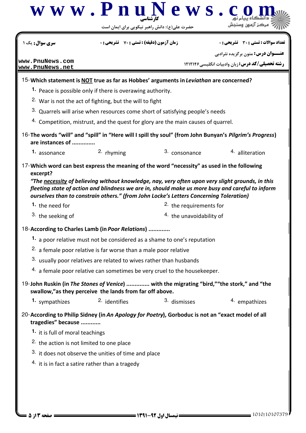|                                                      |                                                                                                           | حضرت علی(ع): دانش راهبر نیکویی برای ایمان است                                                                                                                                              |                                                                                                      |
|------------------------------------------------------|-----------------------------------------------------------------------------------------------------------|--------------------------------------------------------------------------------------------------------------------------------------------------------------------------------------------|------------------------------------------------------------------------------------------------------|
| سری سوال : یک                                        | <b>زمان آزمون (دقیقه) : تستی : 70 گشریحی : 0</b>                                                          |                                                                                                                                                                                            | تعداد سوالات : تستي : 30 ٪ تشريحي : 0                                                                |
| www.PnuNews.com                                      |                                                                                                           |                                                                                                                                                                                            | <b>عنـــوان درس:</b> متون برگزیده نثرادبی<br><b>رشته تحصیلی/کد درس: زبان وادبیات انگلیسی ۱۲۱۲۱۴۶</b> |
| www.PnuNews.net                                      |                                                                                                           |                                                                                                                                                                                            |                                                                                                      |
|                                                      |                                                                                                           | 15-Which statement is NOT true as far as Hobbes' arguments in Leviathan are concerned?                                                                                                     |                                                                                                      |
|                                                      | 1. Peace is possible only if there is overawing authority.                                                |                                                                                                                                                                                            |                                                                                                      |
|                                                      | <sup>2.</sup> War is not the act of fighting, but the will to fight                                       |                                                                                                                                                                                            |                                                                                                      |
|                                                      |                                                                                                           | 3. Quarrels will arise when resources come short of satisfying people's needs                                                                                                              |                                                                                                      |
|                                                      |                                                                                                           | 4. Competition, mistrust, and the quest for glory are the main causes of quarrel.                                                                                                          |                                                                                                      |
| are instances of                                     |                                                                                                           | 16-The words "will" and "spill" in "Here will I spill thy soul" (from John Bunyan's Pilgrim's Progress)                                                                                    |                                                                                                      |
| 1. assonance                                         | 2. rhyming                                                                                                | 3. consonance                                                                                                                                                                              | 4. alliteration                                                                                      |
|                                                      |                                                                                                           | 17-Which word can best express the meaning of the word "necessity" as used in the following                                                                                                |                                                                                                      |
| excerpt?                                             |                                                                                                           |                                                                                                                                                                                            |                                                                                                      |
|                                                      |                                                                                                           | "The necessity of believing without knowledge, nay, very often upon very slight grounds, in this                                                                                           |                                                                                                      |
|                                                      |                                                                                                           | fleeting state of action and blindness we are in, should make us more busy and careful to inform<br>ourselves than to constrain others." (from John Locke's Letters Concerning Toleration) |                                                                                                      |
|                                                      |                                                                                                           |                                                                                                                                                                                            |                                                                                                      |
|                                                      |                                                                                                           |                                                                                                                                                                                            |                                                                                                      |
| 1. the need for                                      |                                                                                                           | <sup>2</sup> the requirements for                                                                                                                                                          |                                                                                                      |
| 3. the seeking of                                    |                                                                                                           | 4. the unavoidability of                                                                                                                                                                   |                                                                                                      |
| 18-According to Charles Lamb (in Poor Relations).    |                                                                                                           |                                                                                                                                                                                            |                                                                                                      |
|                                                      |                                                                                                           | 1. a poor relative must not be considered as a shame to one's reputation                                                                                                                   |                                                                                                      |
|                                                      | <sup>2.</sup> a female poor relative is far worse than a male poor relative                               |                                                                                                                                                                                            |                                                                                                      |
|                                                      | 3. usually poor relatives are related to wives rather than husbands                                       |                                                                                                                                                                                            |                                                                                                      |
|                                                      |                                                                                                           | 4. a female poor relative can sometimes be very cruel to the housekeeper.                                                                                                                  |                                                                                                      |
|                                                      | swallow," as they perceive the lands from far off above.                                                  | 19-John Ruskin (in The Stones of Venice)  with the migrating "bird," "the stork," and "the                                                                                                 |                                                                                                      |
| 1. sympathizes                                       | <sup>2.</sup> identifies                                                                                  | 3. dismisses                                                                                                                                                                               | 4. empathizes                                                                                        |
|                                                      |                                                                                                           | 20-According to Philip Sidney (in An Apology for Poetry), Gorboduc is not an "exact model of all                                                                                           |                                                                                                      |
| tragedies" because                                   |                                                                                                           |                                                                                                                                                                                            |                                                                                                      |
| 1. it is full of moral teachings                     |                                                                                                           |                                                                                                                                                                                            |                                                                                                      |
| <sup>2.</sup> the action is not limited to one place |                                                                                                           |                                                                                                                                                                                            |                                                                                                      |
|                                                      | 3. it does not observe the unities of time and place<br>$4.$ it is in fact a satire rather than a tragedy |                                                                                                                                                                                            |                                                                                                      |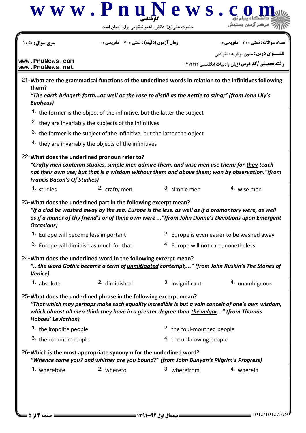

1010/10107379 1391-92 نيمسال اول 4 از 5 صفحه